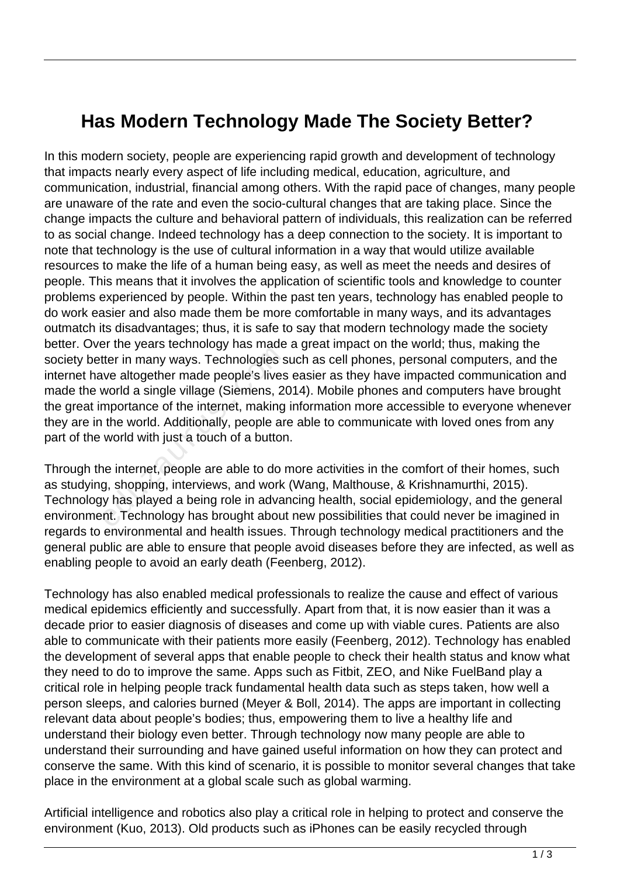## **Has Modern Technology Made The Society Better?**

In this modern society, people are experiencing rapid growth and development of technology that impacts nearly every aspect of life including medical, education, agriculture, and communication, industrial, financial among others. With the rapid pace of changes, many people are unaware of the rate and even the socio-cultural changes that are taking place. Since the change impacts the culture and behavioral pattern of individuals, this realization can be referred to as social change. Indeed technology has a deep connection to the society. It is important to note that technology is the use of cultural information in a way that would utilize available resources to make the life of a human being easy, as well as meet the needs and desires of people. This means that it involves the application of scientific tools and knowledge to counter problems experienced by people. Within the past ten years, technology has enabled people to do work easier and also made them be more comfortable in many ways, and its advantages outmatch its disadvantages; thus, it is safe to say that modern technology made the society better. Over the years technology has made a great impact on the world; thus, making the society better in many ways. Technologies such as cell phones, personal computers, and the internet have altogether made people's lives easier as they have impacted communication and made the world a single village (Siemens, 2014). Mobile phones and computers have brought the great importance of the internet, making information more accessible to everyone whenever they are in the world. Additionally, people are able to communicate with loved ones from any part of the world with just a touch of a button. ther in many ways. Technologies s<br>we altogether made people's lives<br>world a single village (Siemens, 20<br>mportance of the internet, making<br>the world. Additionally, people are<br>world with just a touch of a button<br>ne internet,

Through the internet, people are able to do more activities in the comfort of their homes, such as studying, shopping, interviews, and work (Wang, Malthouse, & Krishnamurthi, 2015). Technology has played a being role in advancing health, social epidemiology, and the general environment. Technology has brought about new possibilities that could never be imagined in regards to environmental and health issues. Through technology medical practitioners and the general public are able to ensure that people avoid diseases before they are infected, as well as enabling people to avoid an early death (Feenberg, 2012).

Technology has also enabled medical professionals to realize the cause and effect of various medical epidemics efficiently and successfully. Apart from that, it is now easier than it was a decade prior to easier diagnosis of diseases and come up with viable cures. Patients are also able to communicate with their patients more easily (Feenberg, 2012). Technology has enabled the development of several apps that enable people to check their health status and know what they need to do to improve the same. Apps such as Fitbit, ZEO, and Nike FuelBand play a critical role in helping people track fundamental health data such as steps taken, how well a person sleeps, and calories burned (Meyer & Boll, 2014). The apps are important in collecting relevant data about people's bodies; thus, empowering them to live a healthy life and understand their biology even better. Through technology now many people are able to understand their surrounding and have gained useful information on how they can protect and conserve the same. With this kind of scenario, it is possible to monitor several changes that take place in the environment at a global scale such as global warming.

Artificial intelligence and robotics also play a critical role in helping to protect and conserve the environment (Kuo, 2013). Old products such as iPhones can be easily recycled through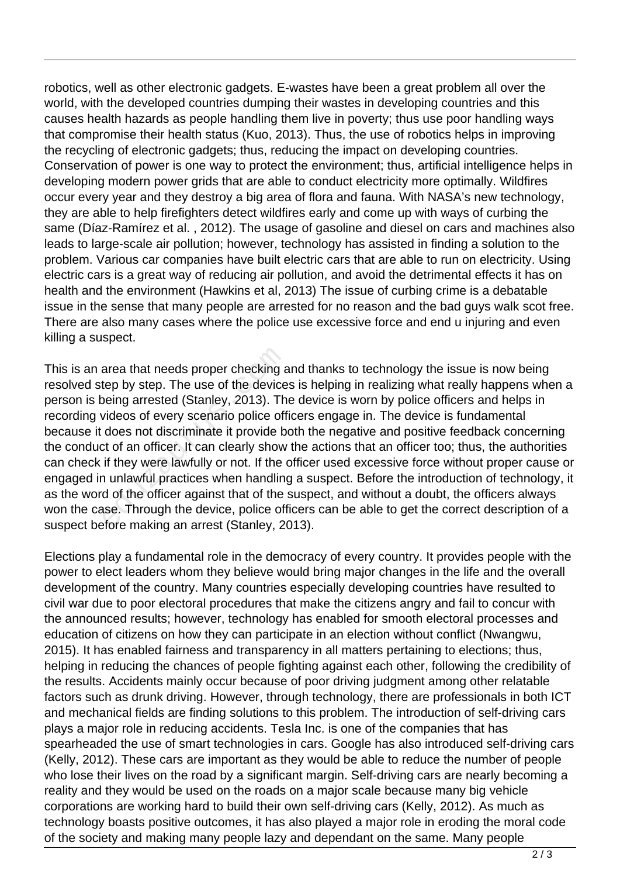robotics, well as other electronic gadgets. E-wastes have been a great problem all over the world, with the developed countries dumping their wastes in developing countries and this causes health hazards as people handling them live in poverty; thus use poor handling ways that compromise their health status (Kuo, 2013). Thus, the use of robotics helps in improving the recycling of electronic gadgets; thus, reducing the impact on developing countries. Conservation of power is one way to protect the environment; thus, artificial intelligence helps in developing modern power grids that are able to conduct electricity more optimally. Wildfires occur every year and they destroy a big area of flora and fauna. With NASA's new technology, they are able to help firefighters detect wildfires early and come up with ways of curbing the same (Díaz-Ramírez et al. , 2012). The usage of gasoline and diesel on cars and machines also leads to large-scale air pollution; however, technology has assisted in finding a solution to the problem. Various car companies have built electric cars that are able to run on electricity. Using electric cars is a great way of reducing air pollution, and avoid the detrimental effects it has on health and the environment (Hawkins et al, 2013) The issue of curbing crime is a debatable issue in the sense that many people are arrested for no reason and the bad guys walk scot free. There are also many cases where the police use excessive force and end u injuring and even killing a suspect.

This is an area that needs proper checking and thanks to technology the issue is now being resolved step by step. The use of the devices is helping in realizing what really happens when a person is being arrested (Stanley, 2013). The device is worn by police officers and helps in recording videos of every scenario police officers engage in. The device is fundamental because it does not discriminate it provide both the negative and positive feedback concerning the conduct of an officer. It can clearly show the actions that an officer too; thus, the authorities can check if they were lawfully or not. If the officer used excessive force without proper cause or engaged in unlawful practices when handling a suspect. Before the introduction of technology, it as the word of the officer against that of the suspect, and without a doubt, the officers always won the case. Through the device, police officers can be able to get the correct description of a suspect before making an arrest (Stanley, 2013). area that needs proper checking a<br>tep by step. The use of the device<br>being arrested (Stanley, 2013). Th<br>videos of every scenario police off<br>does not discriminate it provide b<br>t of an officer. It can clearly show<br>if they we

Elections play a fundamental role in the democracy of every country. It provides people with the power to elect leaders whom they believe would bring major changes in the life and the overall development of the country. Many countries especially developing countries have resulted to civil war due to poor electoral procedures that make the citizens angry and fail to concur with the announced results; however, technology has enabled for smooth electoral processes and education of citizens on how they can participate in an election without conflict (Nwangwu, 2015). It has enabled fairness and transparency in all matters pertaining to elections; thus, helping in reducing the chances of people fighting against each other, following the credibility of the results. Accidents mainly occur because of poor driving judgment among other relatable factors such as drunk driving. However, through technology, there are professionals in both ICT and mechanical fields are finding solutions to this problem. The introduction of self-driving cars plays a major role in reducing accidents. Tesla Inc. is one of the companies that has spearheaded the use of smart technologies in cars. Google has also introduced self-driving cars (Kelly, 2012). These cars are important as they would be able to reduce the number of people who lose their lives on the road by a significant margin. Self-driving cars are nearly becoming a reality and they would be used on the roads on a major scale because many big vehicle corporations are working hard to build their own self-driving cars (Kelly, 2012). As much as technology boasts positive outcomes, it has also played a major role in eroding the moral code of the society and making many people lazy and dependant on the same. Many people